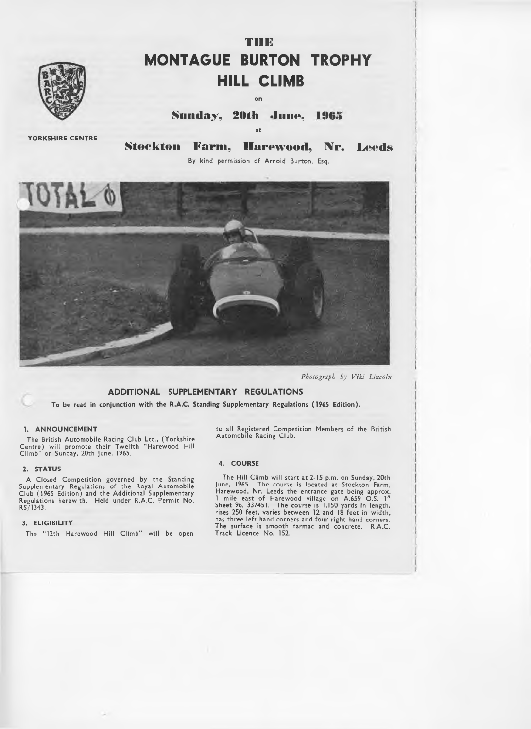

# **THE MONTAGUE BURTON TROPHY HILL CLIMB**

**on**

**Sunday, 20th June, 1965** 

**at**

**YORKSHIRE CENTRE**

**Stockton Farm, Harewood, Nr. Leeds**

By kind permission of Arnold Burton, Esq.



*Photograph by Viki Lincoln*

## **ADDITIONAL SUPPLEMENTARY REGULATIONS**

**To be read in conjunction with the R.A.C. Standing Supplementary Regulations (1965 Edition).**

## **1. ANNOUNCEMENT**

The British Autom obile Racing Club Ltd., (Yorkshire Centre) will promote their Twelfth "Harewood Hill<br>Climb" on Sunday, 20th June, 1965.

## *2 .* **STATUS**

A Closed Competition governed by the Standing Supplementary Regulations of the Royal Autom obile Club (1965 Edition) and the Additional Supplementary Regulations herewith. Held under R.A.C. Permit No. RS/1343.

#### **3. ELIGIBILITY**

The "12th Harewood Hill Climb" will be open

×

to all Registered Competition Members of the British<br>Automobile Racing Club.

## **4. COURSE**

The H ill Climb w ill start at 2-15 p.m. on Sunday, 20th June, 1965. The course is located at Stockton Farm, Harewood, Nr. Leeds the entrance gate being approx. 1 mile east of Harewood village on A.659 O.S. 1" Sheet 96, 337451. The course is 1,150 yards in length, rises 250 feet, varies between 12 and 18 feet in width, has three left hand corners and four right hand corners. The surface is smooth tarmac and concrete. R.A.C. Track Licence No. 152.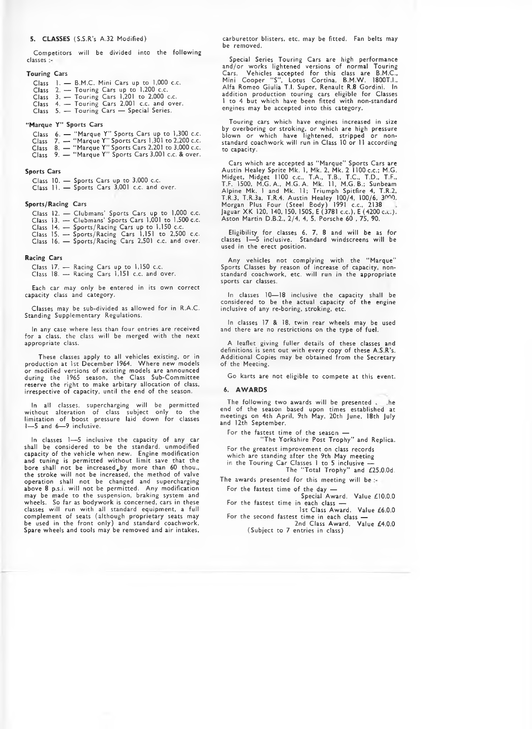#### **5. CLASSES** (S.S.R's A.32 Modified)

Competitors will be divided into the following classes :-

#### **Touring Cars**

Class 1. — B.M.C. Mini Cars up to 1,000 c.c. Class 2. — Touring Cars up to 1,200 c.c. Class 3. — Touring Cars 1,201 to 2,000 c.c. Class 4. — Touring Cars 2,001 c.c. and over. Class 5. — Touring Cars — Special Series.

#### **"Marque Y" Sports Cars**

Class 6. — " Marque Y" Sports Cars up to 1,300 c.c. Class 7. — "Marque Y" Sports Cars 1,301 to 2,200 c.c. Class 8. — " Marque Y" Sports Cars 2,201 to 3,000 c.c. Class 9. — " Marque Y" Sports Cars 3,001 c.c. & over.

#### **Sports Cars**

Class 10. — Sports Cars up to 3,000 c.c. Class 11. — Sports Cars 3,001 c.c. and over.

#### **Sports/Racing Cars**

Class 12. — Clubmans' Sports Cars up to 1,000 c.c. Class 13. — Clubmans' Sports Cars 1,001 to 1,500 c.c. Class 14. — Sports/Racing Cars up to 1,150 c.c. Class 15. — Sports/Racing Cars 1,151 to 2,500 c.c.

Class 16. — Sports/Racing Cars 2,501 c.c. and over.

#### **Racing Cars**

Class 17. — Racing Cars up to 1,150 c.c. Class 18. — Racing Cars 1,151 c.c. and over.

Each car may only be entered in its own correct capacity class and category.

Classes may be sub-divided as allowed for in R.A.C. Standing Supplementary Regulations.

In any case where less than four entries are received for a class, the class will be merged with the next appropriate class.

These classes apply to all vehicles existing, or in production at 1st December 1964. W here new models or modified versions of existing models are announced during the 1965 season, the Class Sub-Committee reserve the right to make arbitary allocation of class, irrespective of capacity, until the end of the season.

In all classes, supercharging will be permitted w ithout alteration of class subject only to the limitation of boost pressure laid down for classes 1— 5 and 6— 9 inclusive.

In classes 1— 5 inclusive the capacity of any car shall be considered to be the standard, unmodified capacity of the vehicle when new. Engine modification and tuning is permitted without limit save that the bore shall not be increased by more than 60 thou., the stroke w ill not be increased, the method of valve operation shall not be changed and supercharging above 8 p.s.i. will not be permitted. Any modification may be made to the suspension, braking system and wheels. So far as bodywork is concerned, cars in these classes w ill run w ith all standard equipment, a full complement of seats (although proprietary seats may<br>be used in the front only) and standard coachwork. Spare wheels and tools may be removed and air intakes,

carburettor blisters, etc. may be fitted. Fan belts may be removed.

Special Series Touring Cars are high performance and/or works lightened versions of normal Touring Cars. Vehicles accepted for this class are B.M.C., Mini Cooper "S", Lotus Cortina, B.M.W. 1800T.I.,<br>Alfa Romeo Giulia T.I. Super, Renault R.8 Gordini. In addition production touring cars eligible for Classes l to 4 but which have been fitted with non-standard engines may be accepted into this category.

Touring cars which have engines increased in size by overboring or stroking, or which are high pressure blown or which have lightened, stripped or nonstandard coachwork will run in Class 10 or 11 according to capacity.

Cars which are accepted as "Marque" Sports Cars are<br>Austin Healey Sprite Mk. 1, Mk. 2, Mk. 2 1100 c.c.; M.G.<br>Midget, Midget 1100 c.c., T.A., T.B., T.C., T.D., T.F., T.F. 1500, M.G. A., M.G. A. Mk. 11, M.G. B.; Sunbeam<br>Alpine Mk. 1 and Mk. 11; Triumph Spitfire 4, T.R.2, T.R.3, T.R.3a, T.R.4. Austin Healey 100/4, 100/6, 3000.<br>Morgan Plus Four (Steel Body) 1991 c.c., 2138 Jaguar XK 120, 140, 150. 150S, E (3781 c.c.), E (4200 c.c.). Aston Martin D.B.2., 2/4, 4, 5, Porsche 60 , 75, 90.

Eligibility for classes 6, 7, 8 and will be as for classes 1—5 inclusive. Standard windscreens will be<br>used in the erect position.

Any vehicles not complying with the "Marque" Sports Classes by reason of increase of capacity, nonstandard coachwork, etc. w ill run in the appropriate sports car classes.

In classes 10— 18 inclusive the capacity shall be considered to be the actual capacity of the engine inclusive of any re-boring, stroking, etc.

In classes 17 & 18, twin rear wheels may be used and there are no restrictions on the type of fuel.

A leaflet giving fuller details of these classes and definitions is sent out with every copy of these A.S.R's. Additional Copies may be obtained from the Secretary of the Meeting.

Go karts are not eligible to compete at this event.

#### **6. AWARDS**

The following two awards will be presented . . . he end of the season based upon times established at<br>meetings on 4th April, 9th May, 20th June, 18th July and 12th September.

For the fastest time of the season  $-$ 

" The Yorkshire Post Trophy" and Replica.

For the greatest improvement on class records

which are standing after the 9th May meeting

in the Touring Car Classes 1 to 5 inclusive — The " Total Trophy" and £25.0.0d.

The awards presented for this meeting will be  $\pm$ For the fastest time of the day -

Special Award. Value £10.0.0 For the fastest time in each class  $-$ 

1st Class Award. Value £6.0.0 For the second fastest time in each class —

2nd Class Award. Value £4.0.0 (Subject to 7 entries in class)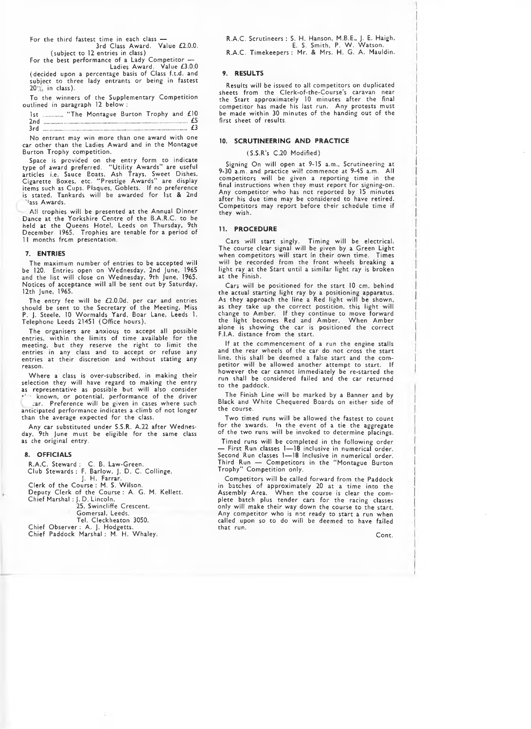For the third fastest time in each class 3rd Class Award. Value £2.0.0.

(subject to 12 entries in class) For the best performance of a Lady C om petitor — Ladies Award. Value £3.0.0

(decided upon a percentage basis of Class f.t.d. and subject to three lady entrants or being in fastest  $20\%$  in class).

To the winners of the Supplementary Competition outlined in paragraph 12 below :

|     |  | Ist  "The Montague Burton Trophy and £10                                                                                                                                                                                                                                                                                                                                                                                                                                                                               |  |    |
|-----|--|------------------------------------------------------------------------------------------------------------------------------------------------------------------------------------------------------------------------------------------------------------------------------------------------------------------------------------------------------------------------------------------------------------------------------------------------------------------------------------------------------------------------|--|----|
| 2nd |  | $\label{eq:convergence} A \left( \mathcal{H} \right) \left( \mathcal{H} \right) \left( \mathcal{H} \right) \left( \mathcal{H} \right) \left( \mathcal{H} \right) \left( \mathcal{H} \right) \left( \mathcal{H} \right) \left( \mathcal{H} \right) \left( \mathcal{H} \right) \left( \mathcal{H} \right) \left( \mathcal{H} \right) \left( \mathcal{H} \right) \left( \mathcal{H} \right) \left( \mathcal{H} \right) \left( \mathcal{H} \right) \left( \mathcal{H} \right) \left( \mathcal{H} \right) \left( \mathcal{$ |  | £5 |
| 3rd |  |                                                                                                                                                                                                                                                                                                                                                                                                                                                                                                                        |  | £ś |

No entrant may win more than one award w ith one car other than the Ladies Award and in the Montague Burton Trophy competition.

Space is provided on the entry form to indicate type of award preferred. "U tility Awards" are useful articles i.e. Sauce Boats, Ash Trays, Sweet Dishes,<br>Cigarette Boxes, etc. "Prestige Awards" are display items such as Cups. Plaques, Goblets. If no preference<br>is stated, Tankards will be awarded for 1st & 2nd 'lass Awards.

All trophies will be presented at the Annual Dinner Dance at the Yorkshire Centre of the B.A.R.C. to be held at the Queens Hotel, Leeds on Thursday, 9th December. 1965. Trophies are tenable for a period of 11 months from presentation.

#### **7. ENTRIES**

The maximum number of entries to be accepted will be 120. Entries open on Wednesday, 2nd June, 1965 and the list w ill close on Wednesday, 9th June, 1965. Notices of acceptance will all be sent out by Saturday, 12th June, 1965.

The entry fee will be  $\pounds 2.0.0$ d. per car and entries should be sent to the Secretary of the Meeting, Miss P. J. Steele, 10 W ormalds Yard, Boar Lane, Leeds 1. Telephone Leeds 21451 (Office hours).

The organisers are anxious to accept all possible<br>entries, within the limits of time available for the meeting, but they reserve the right to limit the entries in any class and to accept or refuse any entries at their discretion and without stating any reason.

W here a class is over-subscribed, in making their selection they will have regard to making the entry as representative as possible but will also consider<br>\*' ` known, or potential, performance of the driver

;ar. Preference w ill be given in cases where such anticipated performance indicates a climb of not longer than the average expected for the class.

Any car substituted under S.S.R. A.22 after Wednesday, 9th June must be eligible for the same class as che original entry.

#### **8. OFFICIALS**

R.A.C. Steward : C. B. Law-Green. Club Stewards : F. Barlow, J. D. C. Collinge, J. H. Farrar. Clerk of the Course : M. S. W ilson. Deputy Clerk of the Course : A. G. M. Kellett. Chief Marshal : J. D. Lincoln, 25, Swincliffe Crescent, Gomersal, Leeds. Tel. Cleckheaton 3050.

Chief Observer : A. J. Hodgetts. Chief Paddock Marshal : M. H. Whaley. R.A.C. Scrutineers : S. H. Hanson, M.B.E., J. E. Haigh, E. S. Smith, P. W . Watson. R.A.C. Timekeepers : Mr. & Mrs. H. G. A. Mauldin.

#### **9. RESULTS**

Results will be issued to all competitors on duplicated sheets from the Clerk-of-the-Course's caravan near the Start approximately 10 minutes after the final com petitor has made his last run. Any protests must be made w ithin 30 minutes of the handing out of the first sheet of results.

#### **10. SCRUTINEERING AND PRACTICE**

#### (S.S.R's C.20 Modified)

Signing On w ill open at 9-15 a.m., Scrutineering at 9-30 a.m. and practice w il! commence at 9-45 a.m. A ll competitors will be given a reporting time in the final instructions when they must report for signing-on. Any competitor who has not reported by 15 minutes after his due time may be considered to have retired. Competitors may report before their schedule time if they wish.

### **11. PROCEDURE**

Cars w ill start singly. Timing w ill be electrical. The course clear signal w ill be given by a Green Light when competitors will start in their own time. Times will be recorded from the front wheels breaking a<br>light ray at the Start until a similar light ray is broken at the Finish.

Cars will be positioned for the start 10 cm. behind the actual starting light ray by a positioning apparatus. As they approach the line a Red light will be shown, as they take up the correct postition, this light w ill change to Amber. If they continue to move forward the light becomes Red and Amber. W hen Amber alone is showing the car is positioned the correct F.I.A. distance from the start.

If at the commencement of a run the engine stalls and the rear wheels of the car do not cross the start line, this shall be deemed a false start and the competitor will be allowed another attempt to start. If however the car cannot immediately be re-started the run shall be considered failed and the car returned to the paddock.

The Finish Line will be marked by a Banner and by Black and White Chequered Boards on either side of the course.

Two timed runs will be allowed the fastest to count for the awards. In the event of a tie the aggregate of the two runs will be invoked to determine placings.

Timed runs will be completed in the following order — First Run classes 1— 18 inclusive in numerical order. Second Run classes 1 — 18 inclusive in numerical order. Third Run — Competitors in the "Montague Burton Trophy" Competition only.

Competitors will be called forward from the Paddock in batches of approximately 20 at a time into the Assembly Area. W hen the course is clear the complete batch plus tender cars for the racing classes only will make their way down the course to the start.<br>Any competitor who is not ready to start a run when called upon so to do will be deemed to have failed that run.

Cont.